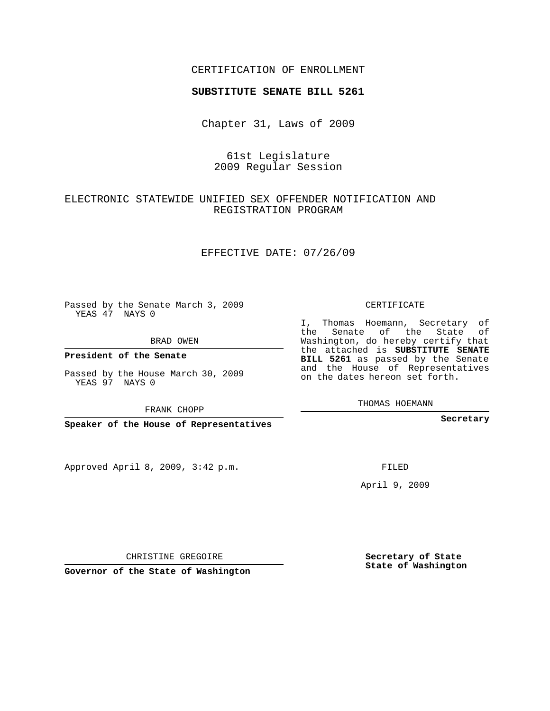## CERTIFICATION OF ENROLLMENT

#### **SUBSTITUTE SENATE BILL 5261**

Chapter 31, Laws of 2009

61st Legislature 2009 Regular Session

## ELECTRONIC STATEWIDE UNIFIED SEX OFFENDER NOTIFICATION AND REGISTRATION PROGRAM

EFFECTIVE DATE: 07/26/09

Passed by the Senate March 3, 2009 YEAS 47 NAYS 0

BRAD OWEN

**President of the Senate**

Passed by the House March 30, 2009 YEAS 97 NAYS 0

FRANK CHOPP

**Speaker of the House of Representatives**

Approved April 8, 2009, 3:42 p.m.

CERTIFICATE

I, Thomas Hoemann, Secretary of the Senate of the State of Washington, do hereby certify that the attached is **SUBSTITUTE SENATE BILL 5261** as passed by the Senate and the House of Representatives on the dates hereon set forth.

THOMAS HOEMANN

**Secretary**

FILED

April 9, 2009

**Secretary of State State of Washington**

CHRISTINE GREGOIRE

**Governor of the State of Washington**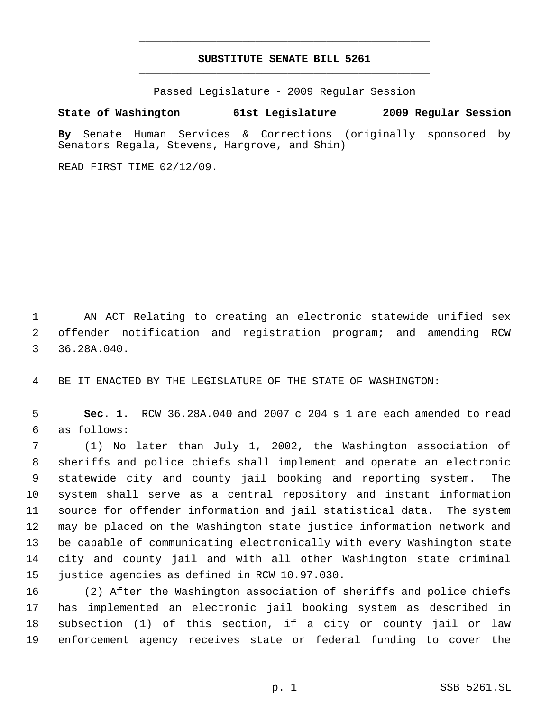# **SUBSTITUTE SENATE BILL 5261** \_\_\_\_\_\_\_\_\_\_\_\_\_\_\_\_\_\_\_\_\_\_\_\_\_\_\_\_\_\_\_\_\_\_\_\_\_\_\_\_\_\_\_\_\_

\_\_\_\_\_\_\_\_\_\_\_\_\_\_\_\_\_\_\_\_\_\_\_\_\_\_\_\_\_\_\_\_\_\_\_\_\_\_\_\_\_\_\_\_\_

Passed Legislature - 2009 Regular Session

## **State of Washington 61st Legislature 2009 Regular Session**

**By** Senate Human Services & Corrections (originally sponsored by Senators Regala, Stevens, Hargrove, and Shin)

READ FIRST TIME 02/12/09.

 AN ACT Relating to creating an electronic statewide unified sex offender notification and registration program; and amending RCW 36.28A.040.

BE IT ENACTED BY THE LEGISLATURE OF THE STATE OF WASHINGTON:

 **Sec. 1.** RCW 36.28A.040 and 2007 c 204 s 1 are each amended to read as follows:

 (1) No later than July 1, 2002, the Washington association of sheriffs and police chiefs shall implement and operate an electronic statewide city and county jail booking and reporting system. The system shall serve as a central repository and instant information source for offender information and jail statistical data. The system may be placed on the Washington state justice information network and be capable of communicating electronically with every Washington state city and county jail and with all other Washington state criminal justice agencies as defined in RCW 10.97.030.

 (2) After the Washington association of sheriffs and police chiefs has implemented an electronic jail booking system as described in subsection (1) of this section, if a city or county jail or law enforcement agency receives state or federal funding to cover the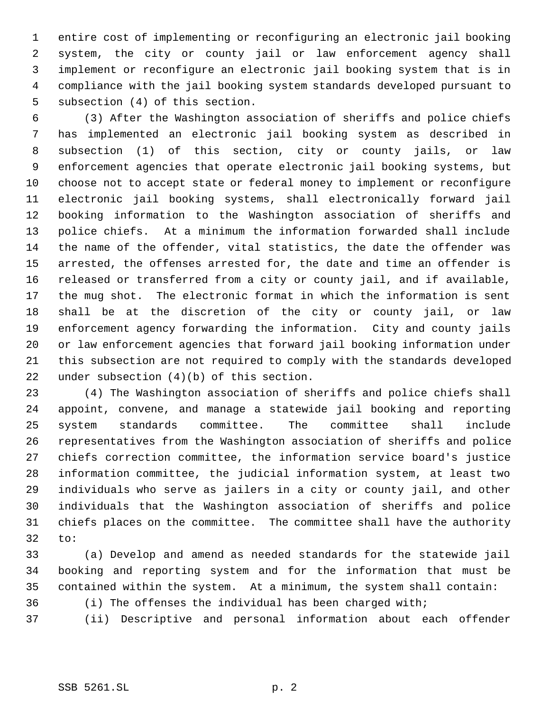entire cost of implementing or reconfiguring an electronic jail booking system, the city or county jail or law enforcement agency shall implement or reconfigure an electronic jail booking system that is in compliance with the jail booking system standards developed pursuant to subsection (4) of this section.

 (3) After the Washington association of sheriffs and police chiefs has implemented an electronic jail booking system as described in subsection (1) of this section, city or county jails, or law enforcement agencies that operate electronic jail booking systems, but choose not to accept state or federal money to implement or reconfigure electronic jail booking systems, shall electronically forward jail booking information to the Washington association of sheriffs and police chiefs. At a minimum the information forwarded shall include the name of the offender, vital statistics, the date the offender was arrested, the offenses arrested for, the date and time an offender is released or transferred from a city or county jail, and if available, the mug shot. The electronic format in which the information is sent shall be at the discretion of the city or county jail, or law enforcement agency forwarding the information. City and county jails or law enforcement agencies that forward jail booking information under this subsection are not required to comply with the standards developed under subsection (4)(b) of this section.

 (4) The Washington association of sheriffs and police chiefs shall appoint, convene, and manage a statewide jail booking and reporting system standards committee. The committee shall include representatives from the Washington association of sheriffs and police chiefs correction committee, the information service board's justice information committee, the judicial information system, at least two individuals who serve as jailers in a city or county jail, and other individuals that the Washington association of sheriffs and police chiefs places on the committee. The committee shall have the authority to:

 (a) Develop and amend as needed standards for the statewide jail booking and reporting system and for the information that must be contained within the system. At a minimum, the system shall contain: (i) The offenses the individual has been charged with;

(ii) Descriptive and personal information about each offender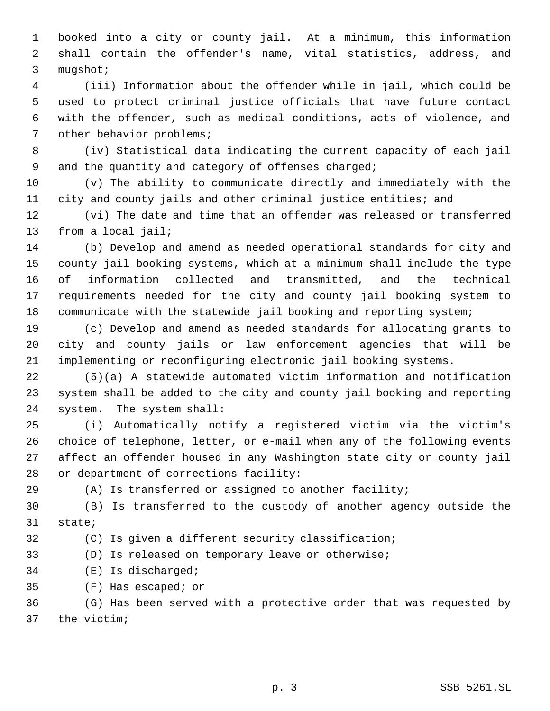booked into a city or county jail. At a minimum, this information shall contain the offender's name, vital statistics, address, and mugshot;

 (iii) Information about the offender while in jail, which could be used to protect criminal justice officials that have future contact with the offender, such as medical conditions, acts of violence, and other behavior problems;

 (iv) Statistical data indicating the current capacity of each jail and the quantity and category of offenses charged;

 (v) The ability to communicate directly and immediately with the city and county jails and other criminal justice entities; and

 (vi) The date and time that an offender was released or transferred from a local jail;

 (b) Develop and amend as needed operational standards for city and county jail booking systems, which at a minimum shall include the type of information collected and transmitted, and the technical requirements needed for the city and county jail booking system to communicate with the statewide jail booking and reporting system;

 (c) Develop and amend as needed standards for allocating grants to city and county jails or law enforcement agencies that will be implementing or reconfiguring electronic jail booking systems.

 (5)(a) A statewide automated victim information and notification system shall be added to the city and county jail booking and reporting system. The system shall:

 (i) Automatically notify a registered victim via the victim's choice of telephone, letter, or e-mail when any of the following events affect an offender housed in any Washington state city or county jail or department of corrections facility:

(A) Is transferred or assigned to another facility;

 (B) Is transferred to the custody of another agency outside the state;

(C) Is given a different security classification;

(D) Is released on temporary leave or otherwise;

(E) Is discharged;

(F) Has escaped; or

 (G) Has been served with a protective order that was requested by the victim;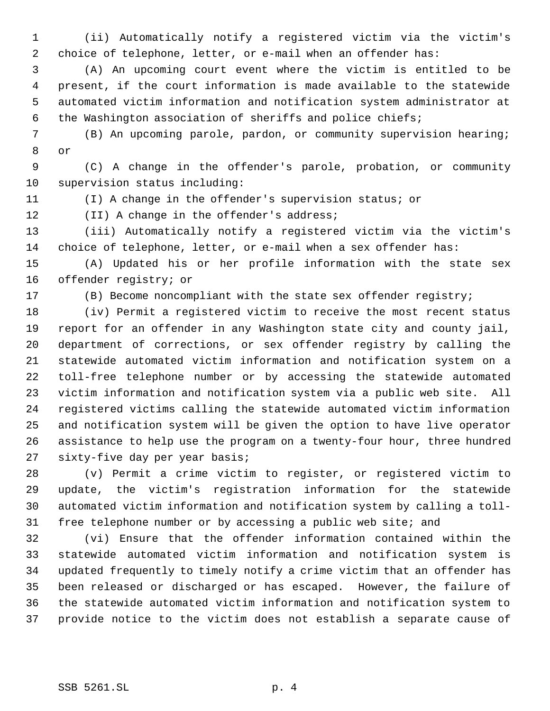(ii) Automatically notify a registered victim via the victim's choice of telephone, letter, or e-mail when an offender has:

 (A) An upcoming court event where the victim is entitled to be present, if the court information is made available to the statewide automated victim information and notification system administrator at the Washington association of sheriffs and police chiefs;

 (B) An upcoming parole, pardon, or community supervision hearing; or

 (C) A change in the offender's parole, probation, or community supervision status including:

(I) A change in the offender's supervision status; or

12 (II) A change in the offender's address;

 (iii) Automatically notify a registered victim via the victim's choice of telephone, letter, or e-mail when a sex offender has:

 (A) Updated his or her profile information with the state sex offender registry; or

(B) Become noncompliant with the state sex offender registry;

 (iv) Permit a registered victim to receive the most recent status report for an offender in any Washington state city and county jail, department of corrections, or sex offender registry by calling the statewide automated victim information and notification system on a toll-free telephone number or by accessing the statewide automated victim information and notification system via a public web site. All registered victims calling the statewide automated victim information and notification system will be given the option to have live operator assistance to help use the program on a twenty-four hour, three hundred sixty-five day per year basis;

 (v) Permit a crime victim to register, or registered victim to update, the victim's registration information for the statewide automated victim information and notification system by calling a toll-free telephone number or by accessing a public web site; and

 (vi) Ensure that the offender information contained within the statewide automated victim information and notification system is updated frequently to timely notify a crime victim that an offender has been released or discharged or has escaped. However, the failure of the statewide automated victim information and notification system to provide notice to the victim does not establish a separate cause of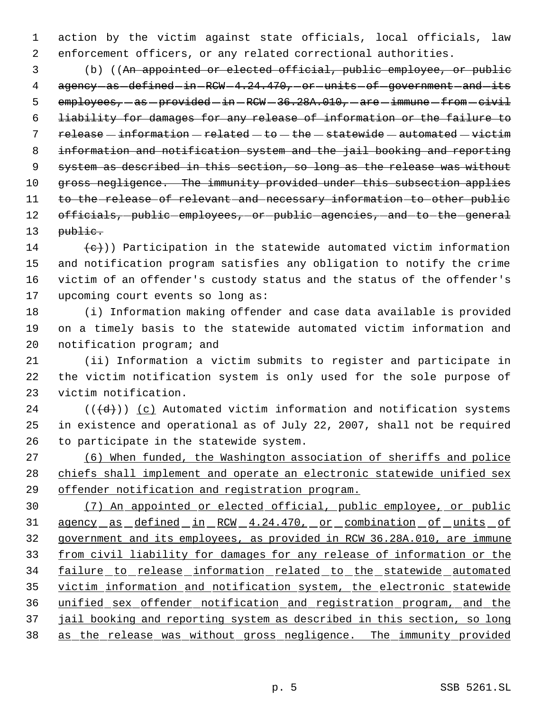action by the victim against state officials, local officials, law enforcement officers, or any related correctional authorities.

 (b) ((An appointed or elected official, public employee, or public 4 agency-as-defined-in-RCW-4.24.470,-or-units-of-government-and-its 5  $emplyees,-as-provided-in-RCW-36.28A.010,-are -immune-from-civil$  liability for damages for any release of information or the failure to  $relcase - information - related - to - the - statewide - automatic - automated - victim$  information and notification system and the jail booking and reporting system as described in this section, so long as the release was without 10 gross negligence. The immunity provided under this subsection applies 11 to the release of relevant and necessary information to other public 12 officials, public employees, or public agencies, and to the general 13 public.

 $(14 \t (-e))$  Participation in the statewide automated victim information and notification program satisfies any obligation to notify the crime victim of an offender's custody status and the status of the offender's upcoming court events so long as:

 (i) Information making offender and case data available is provided on a timely basis to the statewide automated victim information and notification program; and

 (ii) Information a victim submits to register and participate in the victim notification system is only used for the sole purpose of victim notification.

 (( $\left(\frac{d}{d}\right)$ ) (c) Automated victim information and notification systems in existence and operational as of July 22, 2007, shall not be required to participate in the statewide system.

 (6) When funded, the Washington association of sheriffs and police chiefs shall implement and operate an electronic statewide unified sex offender notification and registration program.

 (7) An appointed or elected official, public employee, or public agency as defined in RCW 4.24.470, or combination of units of government and its employees, as provided in RCW 36.28A.010, are immune from civil liability for damages for any release of information or the 34 failure to release information related to the statewide automated victim information and notification system, the electronic statewide unified sex offender notification and registration program, and the jail booking and reporting system as described in this section, so long as the release was without gross negligence. The immunity provided